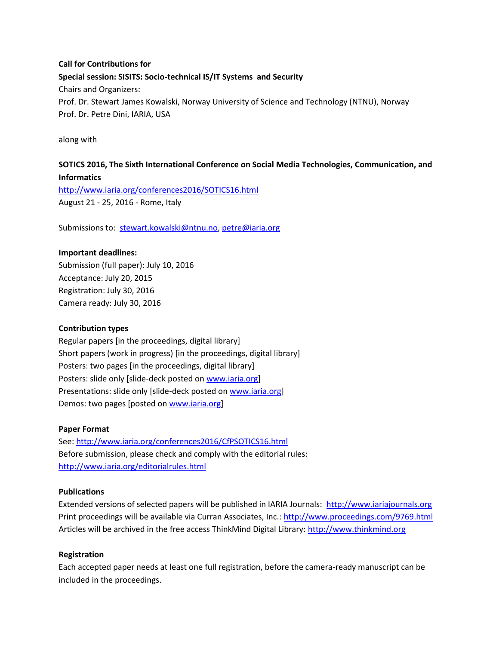# **Call for Contributions for Special session: SISITS: Socio-technical IS/IT Systems and Security** Chairs and Organizers: Prof. Dr. Stewart James Kowalski, Norway University of Science and Technology (NTNU), Norway Prof. Dr. Petre Dini, IARIA, USA

along with

# **SOTICS 2016, The Sixth International Conference on Social Media Technologies, Communication, and Informatics**

<http://www.iaria.org/conferences2016/SOTICS16.html> August 21 - 25, 2016 - Rome, Italy

Submissions to: [stewart.kowalski@ntnu.no](mailto:stewart.kowalski@ntnu.no), [petre@iaria.org](mailto:petre@iaria.org)

### **Important deadlines:**

Submission (full paper): July 10, 2016 Acceptance: July 20, 2015 Registration: July 30, 2016 Camera ready: July 30, 2016

#### **Contribution types**

Regular papers [in the proceedings, digital library] Short papers (work in progress) [in the proceedings, digital library] Posters: two pages [in the proceedings, digital library] Posters: slide only [slide-deck posted on [www.iaria.org\]](http://www.iaria.org/) Presentations: slide only [slide-deck posted on [www.iaria.org](http://www.iaria.org/)] Demos: two pages [posted on [www.iaria.org](http://www.iaria.org/)]

#### **Paper Format**

See: <http://www.iaria.org/conferences2016/CfPSOTICS16.html> Before submission, please check and comply with the editorial rules: <http://www.iaria.org/editorialrules.html>

### **Publications**

Extended versions of selected papers will be published in IARIA Journals: [http://www.iariajournals.org](http://www.iariajournals.org/) Print proceedings will be available via Curran Associates, Inc.: <http://www.proceedings.com/9769.html> Articles will be archived in the free access ThinkMind Digital Library: [http://www.thinkmind.org](http://www.thinkmind.org/)

### **Registration**

Each accepted paper needs at least one full registration, before the camera-ready manuscript can be included in the proceedings.